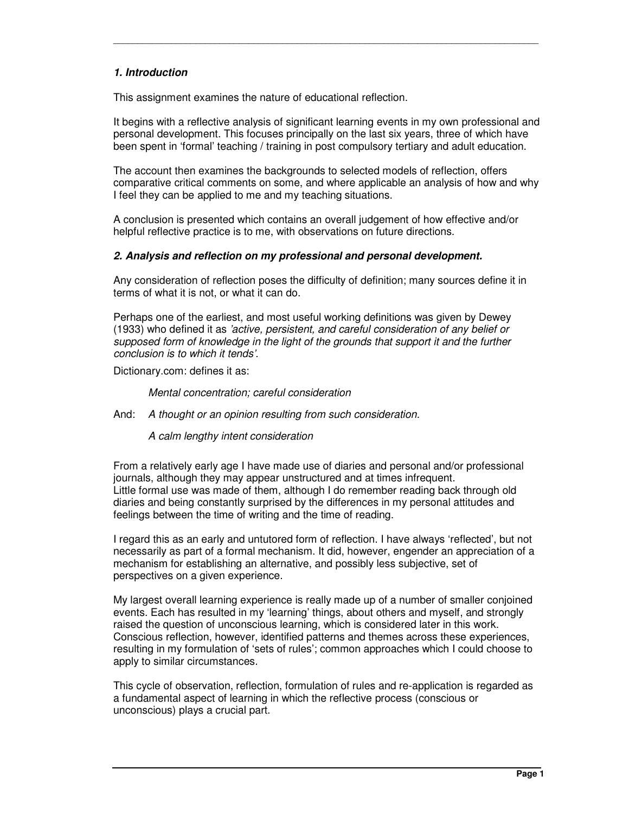## *1. Introduction*

This assignment examines the nature of educational reflection.

It begins with a reflective analysis of significant learning events in my own professional and personal development. This focuses principally on the last six years, three of which have been spent in 'formal' teaching / training in post compulsory tertiary and adult education.

\_\_\_\_\_\_\_\_\_\_\_\_\_\_\_\_\_\_\_\_\_\_\_\_\_\_\_\_\_\_\_\_\_\_\_\_\_\_\_\_\_\_\_\_\_\_\_\_\_\_\_\_\_\_\_\_\_\_\_\_\_\_\_\_\_\_\_\_\_\_\_\_\_\_\_\_\_\_\_\_\_\_\_\_\_\_\_\_

The account then examines the backgrounds to selected models of reflection, offers comparative critical comments on some, and where applicable an analysis of how and why I feel they can be applied to me and my teaching situations.

A conclusion is presented which contains an overall judgement of how effective and/or helpful reflective practice is to me, with observations on future directions.

#### *2. Analysis and reflection on my professional and personal development.*

Any consideration of reflection poses the difficulty of definition; many sources define it in terms of what it is not, or what it can do.

Perhaps one of the earliest, and most useful working definitions was given by Dewey (1933) who defined it as *'active, persistent, and careful consideration of any belief or supposed form of knowledge in the light of the grounds that support it and the further conclusion is to which it tends'.*

Dictionary.com: defines it as:

*Mental concentration; careful consideration*

And: *A thought or an opinion resulting from such consideration.*

*A calm lengthy intent consideration*

From a relatively early age I have made use of diaries and personal and/or professional journals, although they may appear unstructured and at times infrequent. Little formal use was made of them, although I do remember reading back through old diaries and being constantly surprised by the differences in my personal attitudes and feelings between the time of writing and the time of reading.

I regard this as an early and untutored form of reflection. I have always 'reflected', but not necessarily as part of a formal mechanism. It did, however, engender an appreciation of a mechanism for establishing an alternative, and possibly less subjective, set of perspectives on a given experience.

My largest overall learning experience is really made up of a number of smaller conjoined events. Each has resulted in my 'learning' things, about others and myself, and strongly raised the question of unconscious learning, which is considered later in this work. Conscious reflection, however, identified patterns and themes across these experiences, resulting in my formulation of 'sets of rules'; common approaches which I could choose to apply to similar circumstances.

This cycle of observation, reflection, formulation of rules and re-application is regarded as a fundamental aspect of learning in which the reflective process (conscious or unconscious) plays a crucial part.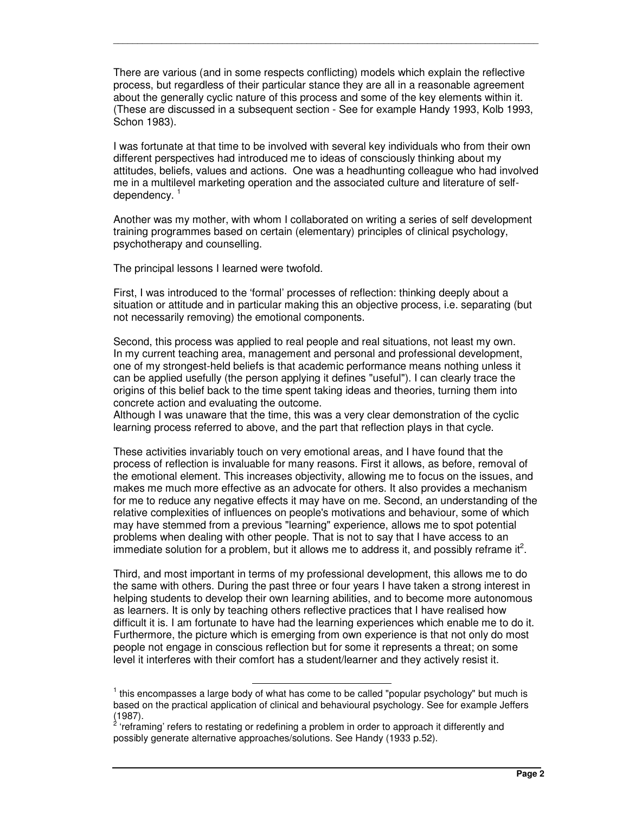There are various (and in some respects conflicting) models which explain the reflective process, but regardless of their particular stance they are all in a reasonable agreement about the generally cyclic nature of this process and some of the key elements within it. (These are discussed in a subsequent section - See for example Handy 1993, Kolb 1993, Schon 1983).

\_\_\_\_\_\_\_\_\_\_\_\_\_\_\_\_\_\_\_\_\_\_\_\_\_\_\_\_\_\_\_\_\_\_\_\_\_\_\_\_\_\_\_\_\_\_\_\_\_\_\_\_\_\_\_\_\_\_\_\_\_\_\_\_\_\_\_\_\_\_\_\_\_\_\_\_\_\_\_\_\_\_\_\_\_\_\_\_

I was fortunate at that time to be involved with several key individuals who from their own different perspectives had introduced me to ideas of consciously thinking about my attitudes, beliefs, values and actions. One was a headhunting colleague who had involved me in a multilevel marketing operation and the associated culture and literature of selfdependency.<sup>1</sup>

Another was my mother, with whom I collaborated on writing a series of self development training programmes based on certain (elementary) principles of clinical psychology, psychotherapy and counselling.

The principal lessons I learned were twofold.

First, I was introduced to the 'formal' processes of reflection: thinking deeply about a situation or attitude and in particular making this an objective process, i.e. separating (but not necessarily removing) the emotional components.

Second, this process was applied to real people and real situations, not least my own. In my current teaching area, management and personal and professional development, one of my strongest-held beliefs is that academic performance means nothing unless it can be applied usefully (the person applying it defines "useful"). I can clearly trace the origins of this belief back to the time spent taking ideas and theories, turning them into concrete action and evaluating the outcome.

Although I was unaware that the time, this was a very clear demonstration of the cyclic learning process referred to above, and the part that reflection plays in that cycle.

These activities invariably touch on very emotional areas, and I have found that the process of reflection is invaluable for many reasons. First it allows, as before, removal of the emotional element. This increases objectivity, allowing me to focus on the issues, and makes me much more effective as an advocate for others. It also provides a mechanism for me to reduce any negative effects it may have on me. Second, an understanding of the relative complexities of influences on people's motivations and behaviour, some of which may have stemmed from a previous "learning" experience, allows me to spot potential problems when dealing with other people. That is not to say that I have access to an immediate solution for a problem, but it allows me to address it, and possibly reframe it<sup>2</sup>.

Third, and most important in terms of my professional development, this allows me to do the same with others. During the past three or four years I have taken a strong interest in helping students to develop their own learning abilities, and to become more autonomous as learners. It is only by teaching others reflective practices that I have realised how difficult it is. I am fortunate to have had the learning experiences which enable me to do it. Furthermore, the picture which is emerging from own experience is that not only do most people not engage in conscious reflection but for some it represents a threat; on some level it interferes with their comfort has a student/learner and they actively resist it.

 $<sup>1</sup>$  this encompasses a large body of what has come to be called "popular psychology" but much is</sup> based on the practical application of clinical and behavioural psychology. See for example Jeffers (1987).<br><sup>2</sup> 'refre'

<sup>&#</sup>x27;reframing' refers to restating or redefining a problem in order to approach it differently and possibly generate alternative approaches/solutions. See Handy (1933 p.52).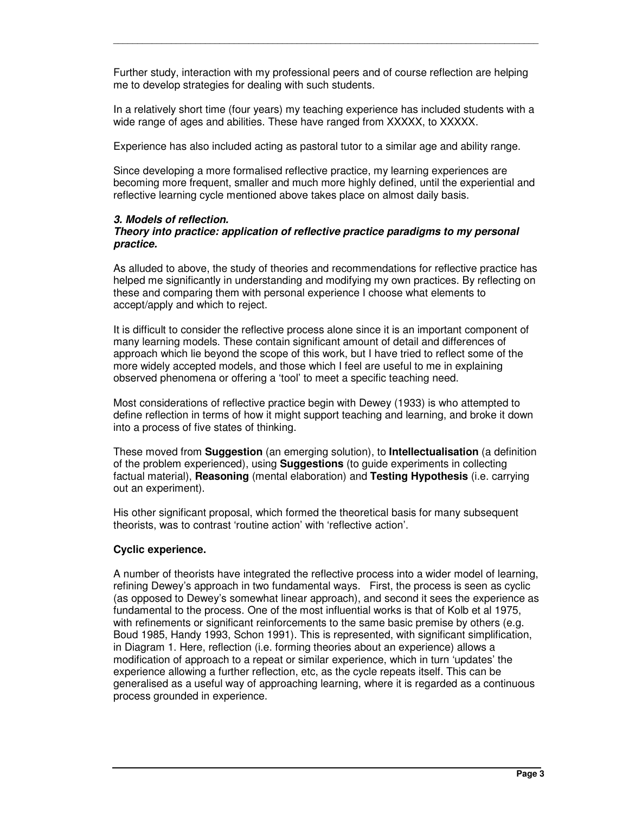Further study, interaction with my professional peers and of course reflection are helping me to develop strategies for dealing with such students.

\_\_\_\_\_\_\_\_\_\_\_\_\_\_\_\_\_\_\_\_\_\_\_\_\_\_\_\_\_\_\_\_\_\_\_\_\_\_\_\_\_\_\_\_\_\_\_\_\_\_\_\_\_\_\_\_\_\_\_\_\_\_\_\_\_\_\_\_\_\_\_\_\_\_\_\_\_\_\_\_\_\_\_\_\_\_\_\_

In a relatively short time (four years) my teaching experience has included students with a wide range of ages and abilities. These have ranged from XXXXX, to XXXXX.

Experience has also included acting as pastoral tutor to a similar age and ability range.

Since developing a more formalised reflective practice, my learning experiences are becoming more frequent, smaller and much more highly defined, until the experiential and reflective learning cycle mentioned above takes place on almost daily basis.

#### *3. Models of reflection.*

#### *Theory into practice: application of reflective practice paradigms to my personal practice.*

As alluded to above, the study of theories and recommendations for reflective practice has helped me significantly in understanding and modifying my own practices. By reflecting on these and comparing them with personal experience I choose what elements to accept/apply and which to reject.

It is difficult to consider the reflective process alone since it is an important component of many learning models. These contain significant amount of detail and differences of approach which lie beyond the scope of this work, but I have tried to reflect some of the more widely accepted models, and those which I feel are useful to me in explaining observed phenomena or offering a 'tool' to meet a specific teaching need.

Most considerations of reflective practice begin with Dewey (1933) is who attempted to define reflection in terms of how it might support teaching and learning, and broke it down into a process of five states of thinking.

These moved from **Suggestion** (an emerging solution), to **Intellectualisation** (a definition of the problem experienced), using **Suggestions** (to guide experiments in collecting factual material), **Reasoning** (mental elaboration) and **Testing Hypothesis** (i.e. carrying out an experiment).

His other significant proposal, which formed the theoretical basis for many subsequent theorists, was to contrast 'routine action' with 'reflective action'.

## **Cyclic experience.**

A number of theorists have integrated the reflective process into a wider model of learning, refining Dewey's approach in two fundamental ways. First, the process is seen as cyclic (as opposed to Dewey's somewhat linear approach), and second it sees the experience as fundamental to the process. One of the most influential works is that of Kolb et al 1975, with refinements or significant reinforcements to the same basic premise by others (e.g. Boud 1985, Handy 1993, Schon 1991). This is represented, with significant simplification, in Diagram 1. Here, reflection (i.e. forming theories about an experience) allows a modification of approach to a repeat or similar experience, which in turn 'updates' the experience allowing a further reflection, etc, as the cycle repeats itself. This can be generalised as a useful way of approaching learning, where it is regarded as a continuous process grounded in experience.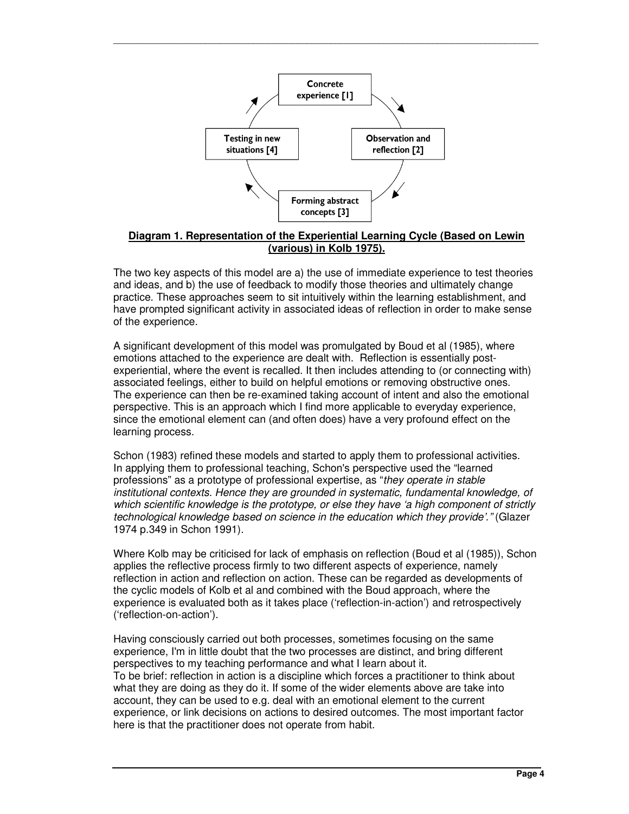

\_\_\_\_\_\_\_\_\_\_\_\_\_\_\_\_\_\_\_\_\_\_\_\_\_\_\_\_\_\_\_\_\_\_\_\_\_\_\_\_\_\_\_\_\_\_\_\_\_\_\_\_\_\_\_\_\_\_\_\_\_\_\_\_\_\_\_\_\_\_\_\_\_\_\_\_\_\_\_\_\_\_\_\_\_\_\_\_

## **Diagram 1. Representation of the Experiential Learning Cycle (Based on Lewin (various) in Kolb 1975).**

The two key aspects of this model are a) the use of immediate experience to test theories and ideas, and b) the use of feedback to modify those theories and ultimately change practice. These approaches seem to sit intuitively within the learning establishment, and have prompted significant activity in associated ideas of reflection in order to make sense of the experience.

A significant development of this model was promulgated by Boud et al (1985), where emotions attached to the experience are dealt with. Reflection is essentially postexperiential, where the event is recalled. It then includes attending to (or connecting with) associated feelings, either to build on helpful emotions or removing obstructive ones. The experience can then be re-examined taking account of intent and also the emotional perspective. This is an approach which I find more applicable to everyday experience, since the emotional element can (and often does) have a very profound effect on the learning process.

Schon (1983) refined these models and started to apply them to professional activities. In applying them to professional teaching, Schon's perspective used the "learned professions" as a prototype of professional expertise, as "*they operate in stable institutional contexts. Hence they are grounded in systematic, fundamental knowledge, of which scientific knowledge is the prototype, or else they have 'a high component of strictly technological knowledge based on science in the education which they provide'."* (Glazer 1974 p.349 in Schon 1991).

Where Kolb may be criticised for lack of emphasis on reflection (Boud et al (1985)), Schon applies the reflective process firmly to two different aspects of experience, namely reflection in action and reflection on action. These can be regarded as developments of the cyclic models of Kolb et al and combined with the Boud approach, where the experience is evaluated both as it takes place ('reflection-in-action') and retrospectively ('reflection-on-action').

Having consciously carried out both processes, sometimes focusing on the same experience, I'm in little doubt that the two processes are distinct, and bring different perspectives to my teaching performance and what I learn about it. To be brief: reflection in action is a discipline which forces a practitioner to think about what they are doing as they do it. If some of the wider elements above are take into account, they can be used to e.g. deal with an emotional element to the current experience, or link decisions on actions to desired outcomes. The most important factor here is that the practitioner does not operate from habit.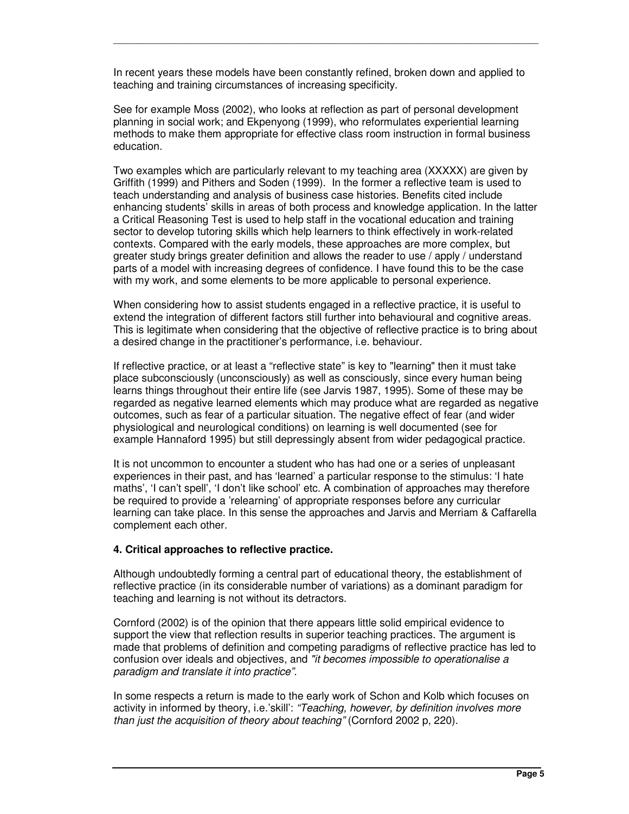In recent years these models have been constantly refined, broken down and applied to teaching and training circumstances of increasing specificity.

\_\_\_\_\_\_\_\_\_\_\_\_\_\_\_\_\_\_\_\_\_\_\_\_\_\_\_\_\_\_\_\_\_\_\_\_\_\_\_\_\_\_\_\_\_\_\_\_\_\_\_\_\_\_\_\_\_\_\_\_\_\_\_\_\_\_\_\_\_\_\_\_\_\_\_\_\_\_\_\_\_\_\_\_\_\_\_\_

See for example Moss (2002), who looks at reflection as part of personal development planning in social work; and Ekpenyong (1999), who reformulates experiential learning methods to make them appropriate for effective class room instruction in formal business education.

Two examples which are particularly relevant to my teaching area (XXXXX) are given by Griffith (1999) and Pithers and Soden (1999). In the former a reflective team is used to teach understanding and analysis of business case histories. Benefits cited include enhancing students' skills in areas of both process and knowledge application. In the latter a Critical Reasoning Test is used to help staff in the vocational education and training sector to develop tutoring skills which help learners to think effectively in work-related contexts. Compared with the early models, these approaches are more complex, but greater study brings greater definition and allows the reader to use / apply / understand parts of a model with increasing degrees of confidence. I have found this to be the case with my work, and some elements to be more applicable to personal experience.

When considering how to assist students engaged in a reflective practice, it is useful to extend the integration of different factors still further into behavioural and cognitive areas. This is legitimate when considering that the objective of reflective practice is to bring about a desired change in the practitioner's performance, i.e. behaviour.

If reflective practice, or at least a "reflective state" is key to "learning" then it must take place subconsciously (unconsciously) as well as consciously, since every human being learns things throughout their entire life (see Jarvis 1987, 1995). Some of these may be regarded as negative learned elements which may produce what are regarded as negative outcomes, such as fear of a particular situation. The negative effect of fear (and wider physiological and neurological conditions) on learning is well documented (see for example Hannaford 1995) but still depressingly absent from wider pedagogical practice.

It is not uncommon to encounter a student who has had one or a series of unpleasant experiences in their past, and has 'learned' a particular response to the stimulus: 'I hate maths', 'I can't spell', 'I don't like school' etc. A combination of approaches may therefore be required to provide a 'relearning' of appropriate responses before any curricular learning can take place. In this sense the approaches and Jarvis and Merriam & Caffarella complement each other.

## **4. Critical approaches to reflective practice.**

Although undoubtedly forming a central part of educational theory, the establishment of reflective practice (in its considerable number of variations) as a dominant paradigm for teaching and learning is not without its detractors.

Cornford (2002) is of the opinion that there appears little solid empirical evidence to support the view that reflection results in superior teaching practices. The argument is made that problems of definition and competing paradigms of reflective practice has led to confusion over ideals and objectives, and *"it becomes impossible to operationalise a paradigm and translate it into practice".*

In some respects a return is made to the early work of Schon and Kolb which focuses on activity in informed by theory, i.e.'skill': *"Teaching, however, by definition involves more than just the acquisition of theory about teaching"* (Cornford 2002 p, 220).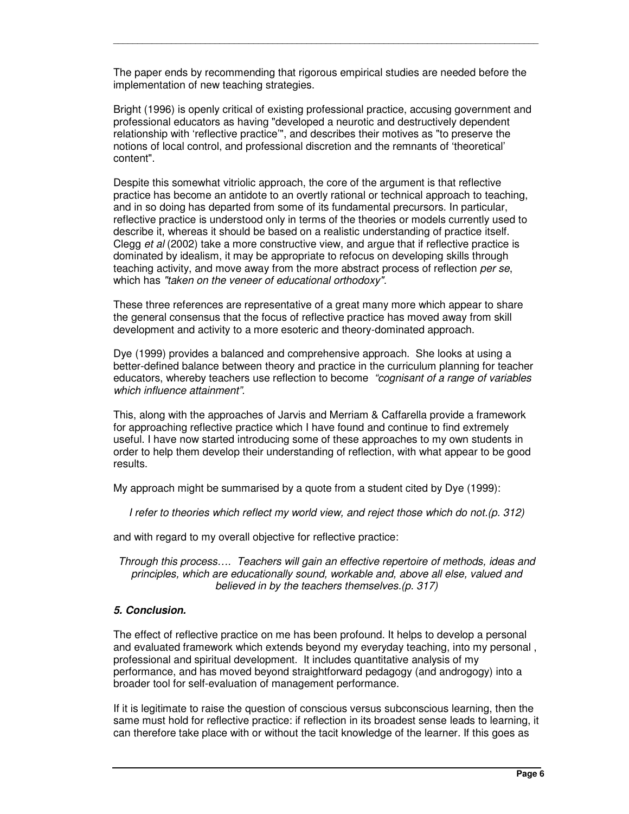The paper ends by recommending that rigorous empirical studies are needed before the implementation of new teaching strategies.

\_\_\_\_\_\_\_\_\_\_\_\_\_\_\_\_\_\_\_\_\_\_\_\_\_\_\_\_\_\_\_\_\_\_\_\_\_\_\_\_\_\_\_\_\_\_\_\_\_\_\_\_\_\_\_\_\_\_\_\_\_\_\_\_\_\_\_\_\_\_\_\_\_\_\_\_\_\_\_\_\_\_\_\_\_\_\_\_

Bright (1996) is openly critical of existing professional practice, accusing government and professional educators as having "developed a neurotic and destructively dependent relationship with 'reflective practice'", and describes their motives as "to preserve the notions of local control, and professional discretion and the remnants of 'theoretical' content".

Despite this somewhat vitriolic approach, the core of the argument is that reflective practice has become an antidote to an overtly rational or technical approach to teaching, and in so doing has departed from some of its fundamental precursors. In particular, reflective practice is understood only in terms of the theories or models currently used to describe it, whereas it should be based on a realistic understanding of practice itself. Clegg *et al* (2002) take a more constructive view, and argue that if reflective practice is dominated by idealism, it may be appropriate to refocus on developing skills through teaching activity, and move away from the more abstract process of reflection *per se*, which has *"taken on the veneer of educational orthodoxy".*

These three references are representative of a great many more which appear to share the general consensus that the focus of reflective practice has moved away from skill development and activity to a more esoteric and theory-dominated approach.

Dye (1999) provides a balanced and comprehensive approach. She looks at using a better-defined balance between theory and practice in the curriculum planning for teacher educators, whereby teachers use reflection to become *"cognisant of a range of variables which influence attainment".*

This, along with the approaches of Jarvis and Merriam & Caffarella provide a framework for approaching reflective practice which I have found and continue to find extremely useful. I have now started introducing some of these approaches to my own students in order to help them develop their understanding of reflection, with what appear to be good results.

My approach might be summarised by a quote from a student cited by Dye (1999):

*I refer to theories which reflect my world view, and reject those which do not.(p. 312)*

and with regard to my overall objective for reflective practice:

*Through this process…. Teachers will gain an effective repertoire of methods, ideas and principles, which are educationally sound, workable and, above all else, valued and believed in by the teachers themselves.(p. 317)*

## *5. Conclusion.*

The effect of reflective practice on me has been profound. It helps to develop a personal and evaluated framework which extends beyond my everyday teaching, into my personal , professional and spiritual development. It includes quantitative analysis of my performance, and has moved beyond straightforward pedagogy (and androgogy) into a broader tool for self-evaluation of management performance.

If it is legitimate to raise the question of conscious versus subconscious learning, then the same must hold for reflective practice: if reflection in its broadest sense leads to learning, it can therefore take place with or without the tacit knowledge of the learner. If this goes as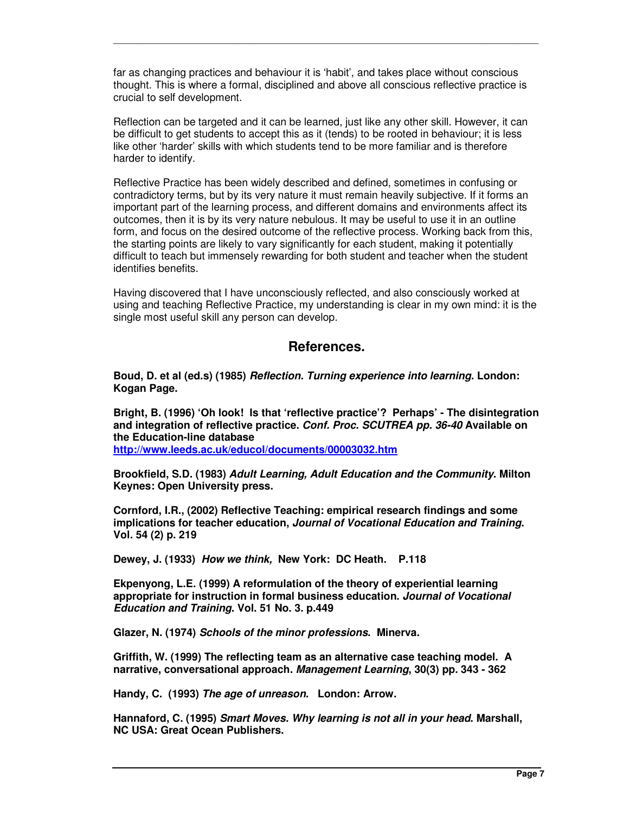far as changing practices and behaviour it is 'habit', and takes place without conscious thought. This is where a formal, disciplined and above all conscious reflective practice is crucial to self development.

\_\_\_\_\_\_\_\_\_\_\_\_\_\_\_\_\_\_\_\_\_\_\_\_\_\_\_\_\_\_\_\_\_\_\_\_\_\_\_\_\_\_\_\_\_\_\_\_\_\_\_\_\_\_\_\_\_\_\_\_\_\_\_\_\_\_\_\_\_\_\_\_\_\_\_\_\_\_\_\_\_\_\_\_\_\_\_\_

Reflection can be targeted and it can be learned, just like any other skill. However, it can be difficult to get students to accept this as it (tends) to be rooted in behaviour; it is less like other 'harder' skills with which students tend to be more familiar and is therefore harder to identify.

Reflective Practice has been widely described and defined, sometimes in confusing or contradictory terms, but by its very nature it must remain heavily subjective. If it forms an important part of the learning process, and different domains and environments affect its outcomes, then it is by its very nature nebulous. It may be useful to use it in an outline form, and focus on the desired outcome of the reflective process. Working back from this, the starting points are likely to vary significantly for each student, making it potentially difficult to teach but immensely rewarding for both student and teacher when the student identifies benefits.

Having discovered that I have unconsciously reflected, and also consciously worked at using and teaching Reflective Practice, my understanding is clear in my own mind: it is the single most useful skill any person can develop.

# **References.**

**Boud, D. et al (ed.s) (1985)** *Reflection. Turning experience into learning***. London: Kogan Page.**

**Bright, B. (1996) 'Oh look! Is that 'reflective practice'? Perhaps' - The disintegration and integration of reflective practice.** *Conf. Proc. SCUTREA pp. 36-40* **Available on the Education-line database http://www.leeds.ac.uk/educol/documents/00003032.htm**

**Brookfield, S.D. (1983)** *Adult Learning, Adult Education and the Community***. Milton Keynes: Open University press.**

**Cornford, I.R., (2002) Reflective Teaching: empirical research findings and some implications for teacher education,** *Journal of Vocational Education and Training***. Vol. 54 (2) p. 219**

**Dewey, J. (1933)** *How we think,* **New York: DC Heath. P.118**

**Ekpenyong, L.E. (1999) A reformulation of the theory of experiential learning appropriate for instruction in formal business education.** *Journal of Vocational Education and Training***. Vol. 51 No. 3. p.449**

**Glazer, N. (1974)** *Schools of the minor professions***. Minerva.**

**Griffith, W. (1999) The reflecting team as an alternative case teaching model. A narrative, conversational approach.** *Management Learning***, 30(3) pp. 343 - 362**

**Handy, C. (1993)** *The age of unreason***. London: Arrow.**

**Hannaford, C. (1995)** *Smart Moves. Why learning is not all in your head***. Marshall, NC USA: Great Ocean Publishers.**